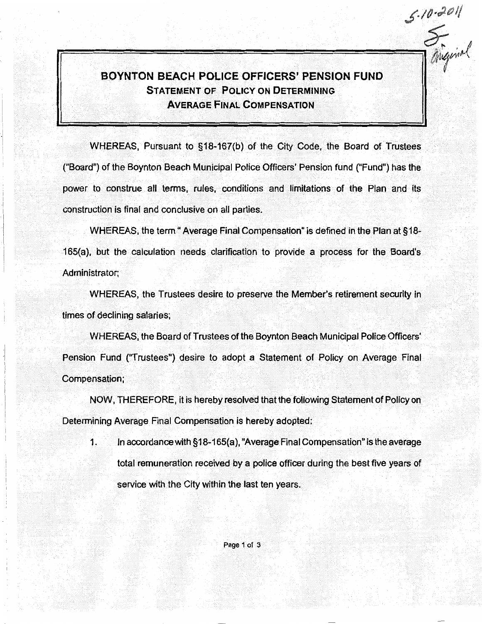## BOYNTON BEACH POLICE OFFICERS' PENSION FUND STATEMENT OF POLICY ON DETERMINING AVERAGE FINAL COMPENSATION

..

 $5 - 10 - 201$ 

WHEREAS, Pursuant to §18-167(b) of the City Code, the Board of Trustees ("Board") of the Boynton Beach Municipal Police Officers' Pension fund ("Fund") has the power to construe all terms, rules, conditions and limitations of the Plan and its construction is final and conclusive on all parties.

WHEREAS, the term "Average Final Compensation" is defined in the Plan at §18-165(a), but the calculation needs clarification to provide a process for the Boardis Administrator;

WHEREAS, the Trustees desire to preserve the Member's retirement security in times of declining salaries;

WHEREAS, the Board of Trustees of the Boynton Beach Municipal Police Officers' Pension Fund ("Trustees") desire to adopt a Statement of Policy on Average Final Compensation;

NOW, THEREFORE, it is hereby resolved that the following Statement of Policy on Determining Average Final Compensation is hereby adopted:

1. In accordance with §18-165(a), "Average Final Compensation" is the average total remuneration received by a police officer during the best five years of service with the City within the last ten years.

Page 1 of 3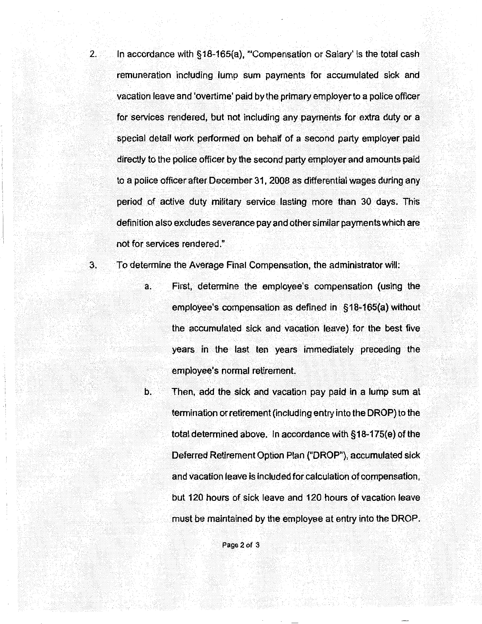2. In accordance with §18-165(a), "'Compensation or Salary' is the total cash remuneration including lump sum payments for accumulated sick and vacation leave and 'overtime' paid by the primary employer to a police officer for services rendered, but not including any payments for extra duty or a special detail Work performed on behalf of a second party employer paid directly to the police officer by the second party employer and amounts paid to a police officer after December 31, 2008 as differential wages during any period of active duty military service lasting more than 30 days. This definition also excludes severance pay and other similar payments which are not for services rendered."

3. To determine the Average Final Compensation, the administrator will:

- a. First, determine the employee's compensation (using the employee's compensation as defined in §18-165(a) without the accumulated sick and vacation leave).for the best five years in the last ten years immediately preceding the employee's normal retirement.
- b. Then, add the sick and vacation pay paid in a lump sum at termination or retirement (including entry into the DROP) to the total determined above. In accordance with  $§18-175(e)$  of the Deferred Retirement Option Plan {"DROP"), accumulated sick and vacation leave is included for calculation of compensation, but 120 hours of sick leave and 120 hours of vacation leave must be maintained by the employee at entry into the DROP.

Page 2 of 3